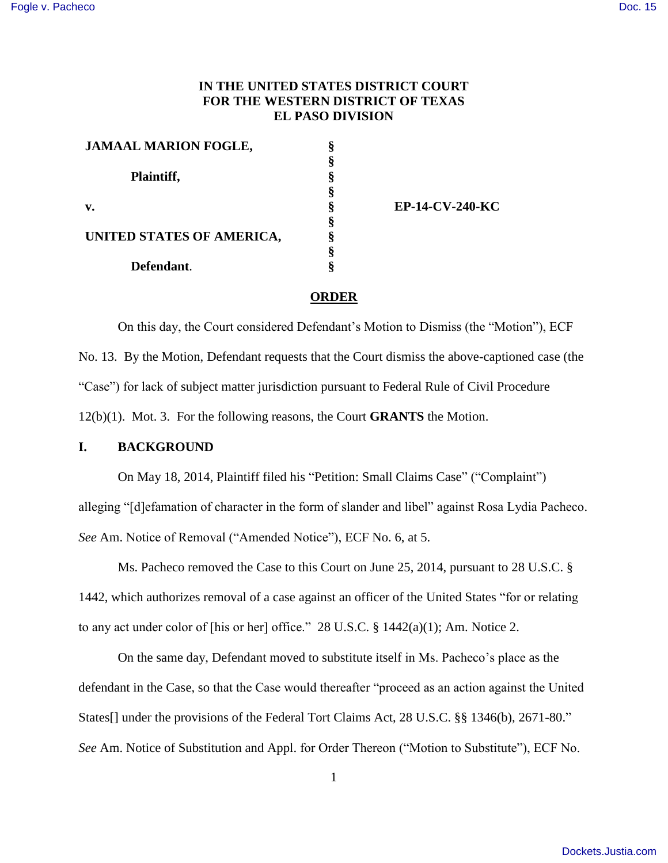# **IN THE UNITED STATES DISTRICT COURT FOR THE WESTERN DISTRICT OF TEXAS EL PASO DIVISION**

**§ § § § § § § § §**

| <b>JAMAAL MARION FOGLE,</b> |
|-----------------------------|
| Plaintiff,                  |
| v.                          |
| UNITED STATES OF AMERICA,   |
| Defendant.                  |

**EP-14-CV-240-KC**

#### **ORDER**

On this day, the Court considered Defendant's Motion to Dismiss (the "Motion"), ECF No. 13. By the Motion, Defendant requests that the Court dismiss the above-captioned case (the "Case") for lack of subject matter jurisdiction pursuant to Federal Rule of Civil Procedure 12(b)(1). Mot. 3. For the following reasons, the Court **GRANTS** the Motion.

### **I. BACKGROUND**

On May 18, 2014, Plaintiff filed his "Petition: Small Claims Case" ("Complaint") alleging "[d]efamation of character in the form of slander and libel" against Rosa Lydia Pacheco. *See* Am. Notice of Removal ("Amended Notice"), ECF No. 6, at 5.

Ms. Pacheco removed the Case to this Court on June 25, 2014, pursuant to 28 U.S.C. § 1442, which authorizes removal of a case against an officer of the United States "for or relating to any act under color of [his or her] office." 28 U.S.C. § 1442(a)(1); Am. Notice 2.

On the same day, Defendant moved to substitute itself in Ms. Pacheco's place as the defendant in the Case, so that the Case would thereafter "proceed as an action against the United States<sup>[]</sup> under the provisions of the Federal Tort Claims Act, 28 U.S.C. §§ 1346(b), 2671-80." *See* Am. Notice of Substitution and Appl. for Order Thereon ("Motion to Substitute"), ECF No.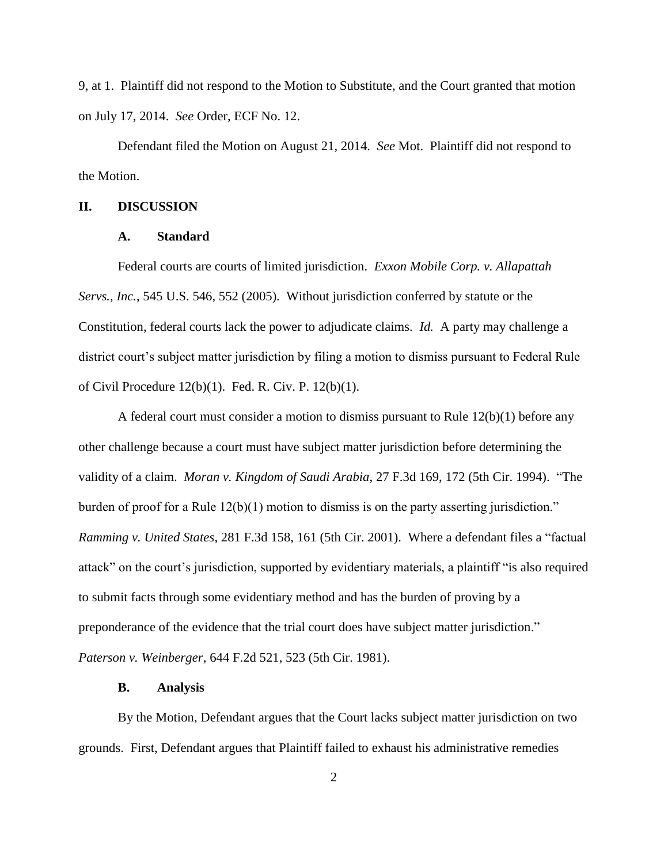9, at 1. Plaintiff did not respond to the Motion to Substitute, and the Court granted that motion on July 17, 2014. *See* Order, ECF No. 12.

Defendant filed the Motion on August 21, 2014. *See* Mot. Plaintiff did not respond to the Motion.

### **II. DISCUSSION**

#### **A. Standard**

Federal courts are courts of limited jurisdiction. *Exxon Mobile Corp. v. Allapattah Servs., Inc.*, 545 U.S. 546, 552 (2005). Without jurisdiction conferred by statute or the Constitution, federal courts lack the power to adjudicate claims. *Id.* A party may challenge a district court's subject matter jurisdiction by filing a motion to dismiss pursuant to Federal Rule of Civil Procedure 12(b)(1). Fed. R. Civ. P. 12(b)(1).

A federal court must consider a motion to dismiss pursuant to Rule  $12(b)(1)$  before any other challenge because a court must have subject matter jurisdiction before determining the validity of a claim. *Moran v. Kingdom of Saudi Arabia*, 27 F.3d 169, 172 (5th Cir. 1994). "The burden of proof for a Rule 12(b)(1) motion to dismiss is on the party asserting jurisdiction." *Ramming v. United States*, 281 F.3d 158, 161 (5th Cir. 2001). Where a defendant files a "factual attack" on the court's jurisdiction, supported by evidentiary materials, a plaintiff "is also required to submit facts through some evidentiary method and has the burden of proving by a preponderance of the evidence that the trial court does have subject matter jurisdiction." *Paterson v. Weinberger*, 644 F.2d 521, 523 (5th Cir. 1981).

#### **B. Analysis**

By the Motion, Defendant argues that the Court lacks subject matter jurisdiction on two grounds. First, Defendant argues that Plaintiff failed to exhaust his administrative remedies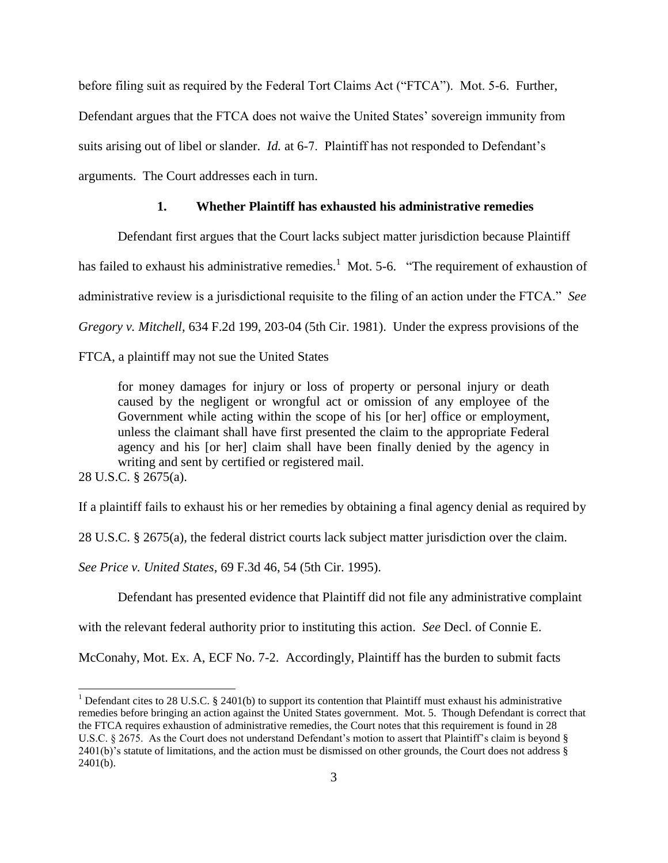before filing suit as required by the Federal Tort Claims Act ("FTCA"). Mot. 5-6. Further,

Defendant argues that the FTCA does not waive the United States' sovereign immunity from

suits arising out of libel or slander. *Id.* at 6-7. Plaintiff has not responded to Defendant's

arguments. The Court addresses each in turn.

## **1. Whether Plaintiff has exhausted his administrative remedies**

Defendant first argues that the Court lacks subject matter jurisdiction because Plaintiff

has failed to exhaust his administrative remedies.<sup>1</sup> Mot. 5-6. "The requirement of exhaustion of

administrative review is a jurisdictional requisite to the filing of an action under the FTCA." *See* 

*Gregory v. Mitchell*, 634 F.2d 199, 203-04 (5th Cir. 1981). Under the express provisions of the

FTCA, a plaintiff may not sue the United States

for money damages for injury or loss of property or personal injury or death caused by the negligent or wrongful act or omission of any employee of the Government while acting within the scope of his [or her] office or employment, unless the claimant shall have first presented the claim to the appropriate Federal agency and his [or her] claim shall have been finally denied by the agency in writing and sent by certified or registered mail.

28 U.S.C. § 2675(a).

l

If a plaintiff fails to exhaust his or her remedies by obtaining a final agency denial as required by

28 U.S.C. § 2675(a), the federal district courts lack subject matter jurisdiction over the claim.

*See Price v. United States*, 69 F.3d 46, 54 (5th Cir. 1995).

Defendant has presented evidence that Plaintiff did not file any administrative complaint

with the relevant federal authority prior to instituting this action. *See* Decl. of Connie E.

McConahy, Mot. Ex. A, ECF No. 7-2. Accordingly, Plaintiff has the burden to submit facts

<sup>&</sup>lt;sup>1</sup> Defendant cites to 28 U.S.C. § 2401(b) to support its contention that Plaintiff must exhaust his administrative remedies before bringing an action against the United States government. Mot. 5. Though Defendant is correct that the FTCA requires exhaustion of administrative remedies, the Court notes that this requirement is found in 28 U.S.C. § 2675. As the Court does not understand Defendant's motion to assert that Plaintiff's claim is beyond §  $2401(b)$ 's statute of limitations, and the action must be dismissed on other grounds, the Court does not address  $\S$  $2401(b)$ .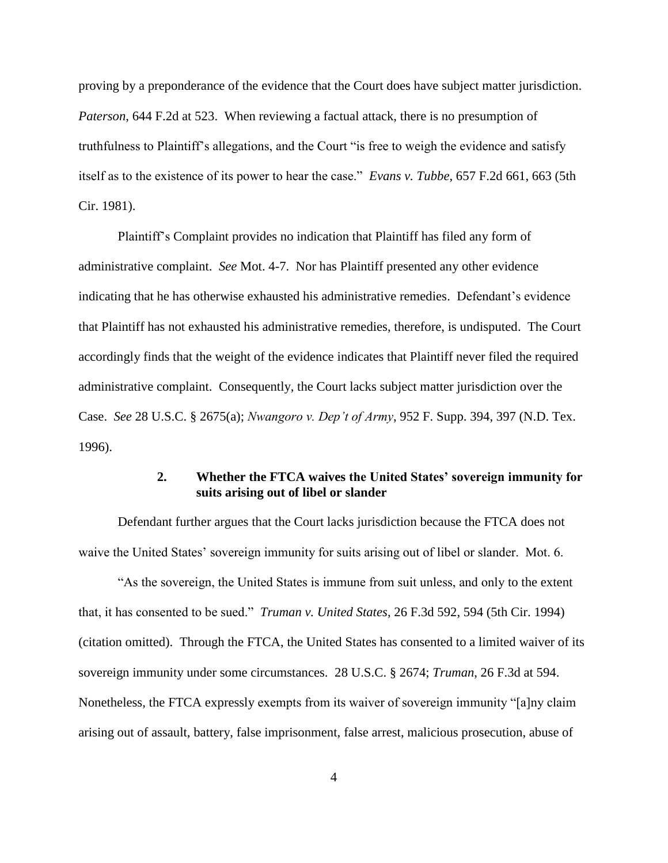proving by a preponderance of the evidence that the Court does have subject matter jurisdiction. *Paterson*, 644 F.2d at 523. When reviewing a factual attack, there is no presumption of truthfulness to Plaintiff's allegations, and the Court "is free to weigh the evidence and satisfy itself as to the existence of its power to hear the case." *Evans v. Tubbe*, 657 F.2d 661, 663 (5th Cir. 1981).

Plaintiff's Complaint provides no indication that Plaintiff has filed any form of administrative complaint. *See* Mot. 4-7. Nor has Plaintiff presented any other evidence indicating that he has otherwise exhausted his administrative remedies. Defendant's evidence that Plaintiff has not exhausted his administrative remedies, therefore, is undisputed. The Court accordingly finds that the weight of the evidence indicates that Plaintiff never filed the required administrative complaint. Consequently, the Court lacks subject matter jurisdiction over the Case. *See* 28 U.S.C. § 2675(a); *Nwangoro v. Dep't of Army*, 952 F. Supp. 394, 397 (N.D. Tex. 1996).

## **2. Whether the FTCA waives the United States' sovereign immunity for suits arising out of libel or slander**

Defendant further argues that the Court lacks jurisdiction because the FTCA does not waive the United States' sovereign immunity for suits arising out of libel or slander. Mot. 6.

"As the sovereign, the United States is immune from suit unless, and only to the extent that, it has consented to be sued." *Truman v. United States*, 26 F.3d 592, 594 (5th Cir. 1994) (citation omitted). Through the FTCA, the United States has consented to a limited waiver of its sovereign immunity under some circumstances. 28 U.S.C. § 2674; *Truman*, 26 F.3d at 594. Nonetheless, the FTCA expressly exempts from its waiver of sovereign immunity "[a]ny claim arising out of assault, battery, false imprisonment, false arrest, malicious prosecution, abuse of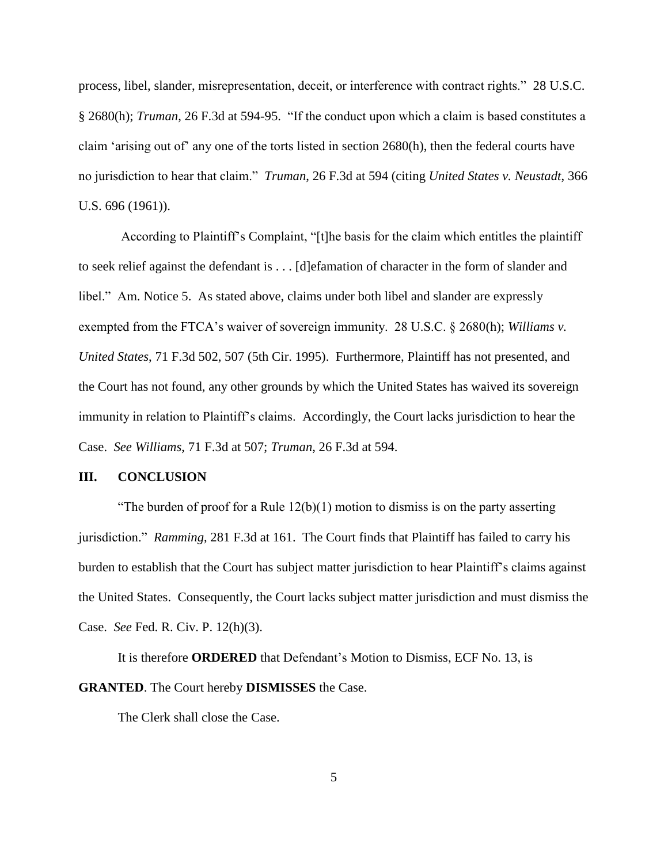process, libel, slander, misrepresentation, deceit, or interference with contract rights." 28 U.S.C. § 2680(h); *Truman*, 26 F.3d at 594-95. "If the conduct upon which a claim is based constitutes a claim 'arising out of' any one of the torts listed in section 2680(h), then the federal courts have no jurisdiction to hear that claim." *Truman*, 26 F.3d at 594 (citing *United States v. Neustadt*, 366 U.S. 696 (1961)).

According to Plaintiff's Complaint, "[t]he basis for the claim which entitles the plaintiff to seek relief against the defendant is . . . [d]efamation of character in the form of slander and libel." Am. Notice 5. As stated above, claims under both libel and slander are expressly exempted from the FTCA's waiver of sovereign immunity. 28 U.S.C. § 2680(h); *Williams v. United States*, 71 F.3d 502, 507 (5th Cir. 1995). Furthermore, Plaintiff has not presented, and the Court has not found, any other grounds by which the United States has waived its sovereign immunity in relation to Plaintiff's claims. Accordingly, the Court lacks jurisdiction to hear the Case. *See Williams*, 71 F.3d at 507; *Truman*, 26 F.3d at 594.

### **III. CONCLUSION**

"The burden of proof for a Rule  $12(b)(1)$  motion to dismiss is on the party asserting jurisdiction." *Ramming*, 281 F.3d at 161. The Court finds that Plaintiff has failed to carry his burden to establish that the Court has subject matter jurisdiction to hear Plaintiff's claims against the United States. Consequently, the Court lacks subject matter jurisdiction and must dismiss the Case. *See* Fed. R. Civ. P. 12(h)(3).

It is therefore **ORDERED** that Defendant's Motion to Dismiss, ECF No. 13, is **GRANTED**. The Court hereby **DISMISSES** the Case.

The Clerk shall close the Case.